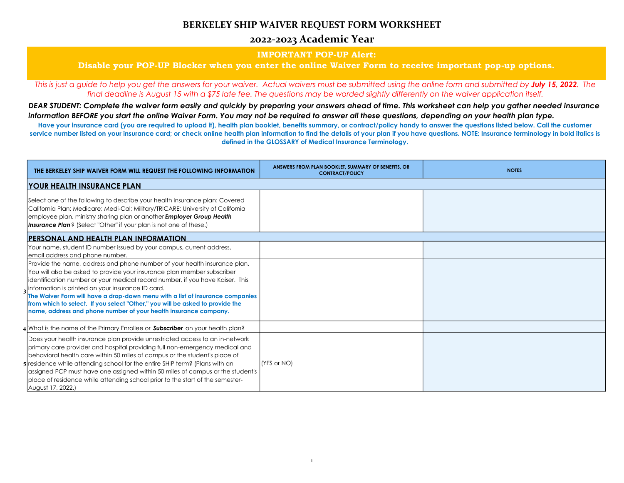## **BERKELEY SHIP WAIVER REQUEST FORM WORKSHEET**

## **2022-2023 Academic Year**

### **IMPORTANT POP-UP Alert:**

### **Disable your POP-UP Blocker when you enter the online Waiver Form to receive important pop-up options.**

*This is just a guide to help you get the answers for your waiver. Actual waivers must be submitted using the online form and submitted by July 15, 2022. The final deadline is August 15 with a \$75 late fee. The questions may be worded slightly differently on the waiver application itself.*

Have your insurance card (you are required to upload it), health plan booklet, benefits summary, or contract/policy handy to answer the questions listed below. Call the customer **service number listed on your insurance card; or check online health plan information to find the details of your plan if you have questions. NOTE: Insurance terminology in bold italics is defined in the GLOSSARY of Medical Insurance Terminology.**

*DEAR STUDENT: Complete the waiver form easily and quickly by preparing your answers ahead of time. This worksheet can help you gather needed insurance information BEFORE you start the online Waiver Form. You may not be required to answer all these questions, depending on your health plan type.*

| THE BERKELEY SHIP WAIVER FORM WILL REQUEST THE FOLLOWING INFORMATION                                                                                                                                                                                                                                                                                                                                                                                                                                                             | ANSWERS FROM PLAN BOOKLET, SUMMARY OF BENEFITS, OR<br><b>CONTRACT/POLICY</b> | <b>NOTES</b> |
|----------------------------------------------------------------------------------------------------------------------------------------------------------------------------------------------------------------------------------------------------------------------------------------------------------------------------------------------------------------------------------------------------------------------------------------------------------------------------------------------------------------------------------|------------------------------------------------------------------------------|--------------|
| <b>YOUR HEALTH INSURANCE PLAN</b>                                                                                                                                                                                                                                                                                                                                                                                                                                                                                                |                                                                              |              |
| Select one of the following to describe your health insurance plan: Covered<br>California Plan; Medicare; Medi-Cal; Military/TRICARE; University of California<br>employee plan, ministry sharing plan or another Employer Group Health<br>Insurance Plan? (Select "Other" if your plan is not one of these.)                                                                                                                                                                                                                    |                                                                              |              |
| <b>PERSONAL AND HEALTH PLAN INFORMATION</b>                                                                                                                                                                                                                                                                                                                                                                                                                                                                                      |                                                                              |              |
| Your name, student ID number issued by your campus, current address,<br>email address and phone number.                                                                                                                                                                                                                                                                                                                                                                                                                          |                                                                              |              |
| Provide the name, address and phone number of your health insurance plan.<br>You will also be asked to provide your insurance plan member subscriber<br>identification number or your medical record number, if you have Kaiser. This<br>information is printed on your insurance ID card.<br>The Waiver Form will have a drop-down menu with a list of insurance companies<br>from which to select. If you select "Other," you will be asked to provide the<br>name, address and phone number of your health insurance company. |                                                                              |              |
| <b>: What is the name of the Primary Enrollee or Subscriber</b> on your health plan?                                                                                                                                                                                                                                                                                                                                                                                                                                             |                                                                              |              |
| Does your health insurance plan provide unrestricted access to an in-network<br>primary care provider and hospital providing full non-emergency medical and<br>behavioral health care within 50 miles of campus or the student's place of<br>residence while attending school for the entire SHIP term? (Plans with an<br>assigned PCP must have one assigned within 50 miles of campus or the student's<br>place of residence while attending school prior to the start of the semester-<br>August 17, 2022.)                   | (YES or NO)                                                                  |              |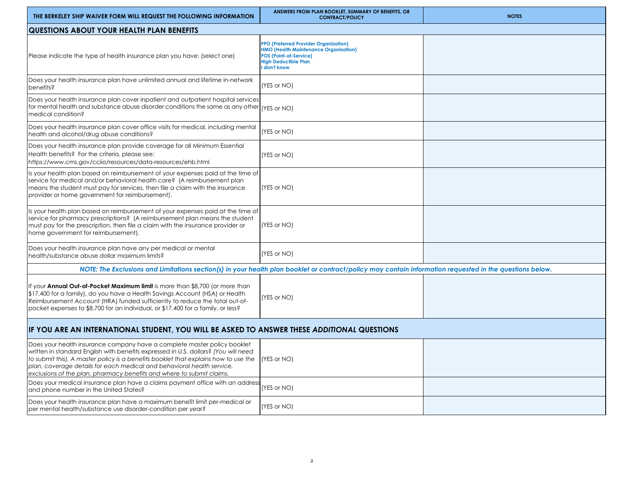| NOTE: The Exclusions and Limitations section(s) in your health plan booklet or contract/policy may contain information requested in the questions below. |  |  |  |  |  |  |
|----------------------------------------------------------------------------------------------------------------------------------------------------------|--|--|--|--|--|--|
|                                                                                                                                                          |  |  |  |  |  |  |
| IF YOU ARE AN INTERNATIONAL STUDENT, YOU WILL BE ASKED TO ANSWER THESE ADDITIONAL QUESTIONS                                                              |  |  |  |  |  |  |
|                                                                                                                                                          |  |  |  |  |  |  |
|                                                                                                                                                          |  |  |  |  |  |  |
|                                                                                                                                                          |  |  |  |  |  |  |
|                                                                                                                                                          |  |  |  |  |  |  |

| <b>I did brone number in the united states?</b>                                                                                             | .            |  |
|---------------------------------------------------------------------------------------------------------------------------------------------|--------------|--|
| Does your health insurance plan have a maximum benefit limit per-medical or<br>per mental health/substance use disorder-condition per year? | Y(YES or NO) |  |